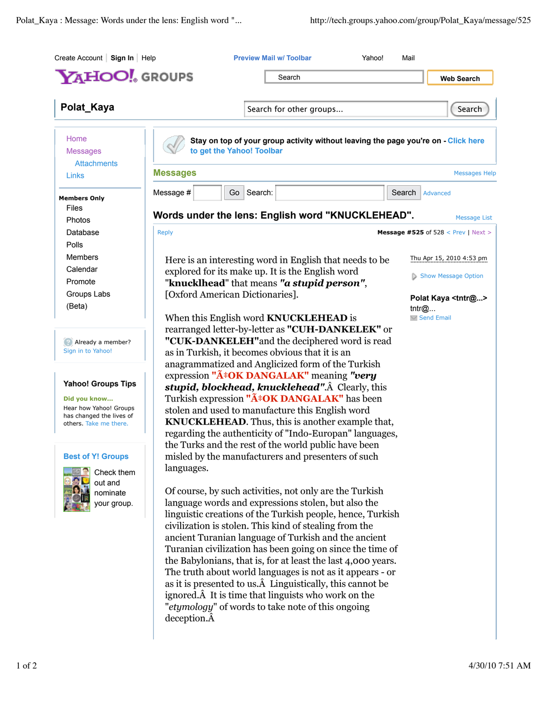